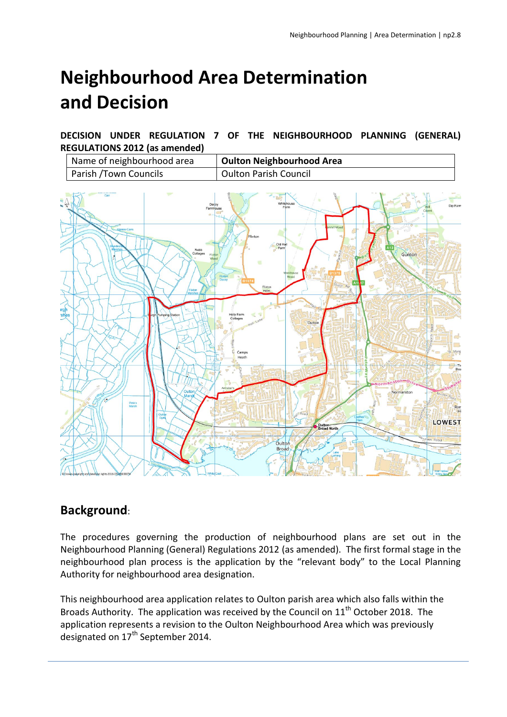# **Neighbourhood Area Determination and Decision**

**DECISION UNDER REGULATION 7 OF THE NEIGHBOURHOOD PLANNING (GENERAL) REGULATIONS 2012 (as amended)**



# **Background**:

The procedures governing the production of neighbourhood plans are set out in the Neighbourhood Planning (General) Regulations 2012 (as amended). The first formal stage in the neighbourhood plan process is the application by the "relevant body" to the Local Planning Authority for neighbourhood area designation.

This neighbourhood area application relates to Oulton parish area which also falls within the Broads Authority. The application was received by the Council on  $11<sup>th</sup>$  October 2018. The application represents a revision to the Oulton Neighbourhood Area which was previously designated on 17<sup>th</sup> September 2014.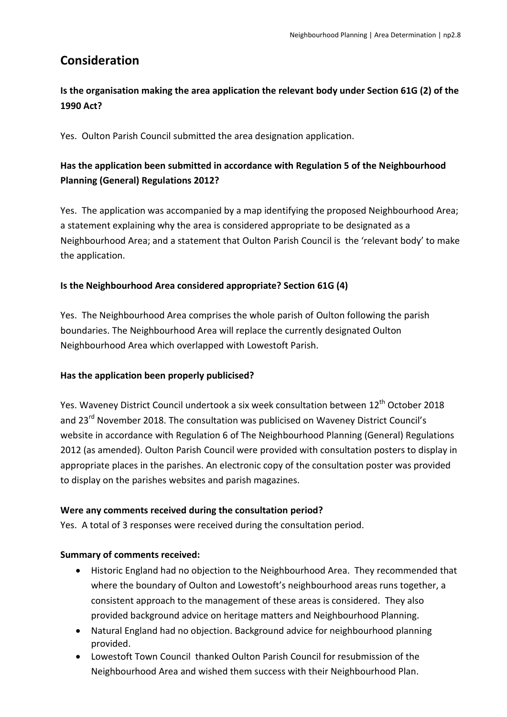# **Consideration**

# **Is the organisation making the area application the relevant body under Section 61G (2) of the 1990 Act?**

Yes. Oulton Parish Council submitted the area designation application.

# **Has the application been submitted in accordance with Regulation 5 of the Neighbourhood Planning (General) Regulations 2012?**

Yes. The application was accompanied by a map identifying the proposed Neighbourhood Area; a statement explaining why the area is considered appropriate to be designated as a Neighbourhood Area; and a statement that Oulton Parish Council is the 'relevant body' to make the application.

#### **Is the Neighbourhood Area considered appropriate? Section 61G (4)**

Yes. The Neighbourhood Area comprises the whole parish of Oulton following the parish boundaries. The Neighbourhood Area will replace the currently designated Oulton Neighbourhood Area which overlapped with Lowestoft Parish.

## **Has the application been properly publicised?**

Yes. Waveney District Council undertook a six week consultation between 12<sup>th</sup> October 2018 and 23<sup>rd</sup> November 2018. The consultation was publicised on Waveney District Council's website in accordance with Regulation 6 of The Neighbourhood Planning (General) Regulations 2012 (as amended). Oulton Parish Council were provided with consultation posters to display in appropriate places in the parishes. An electronic copy of the consultation poster was provided to display on the parishes websites and parish magazines.

#### **Were any comments received during the consultation period?**

Yes. A total of 3 responses were received during the consultation period.

## **Summary of comments received:**

- Historic England had no objection to the Neighbourhood Area. They recommended that where the boundary of Oulton and Lowestoft's neighbourhood areas runs together, a consistent approach to the management of these areas is considered. They also provided background advice on heritage matters and Neighbourhood Planning.
- Natural England had no objection. Background advice for neighbourhood planning provided.
- Lowestoft Town Council thanked Oulton Parish Council for resubmission of the Neighbourhood Area and wished them success with their Neighbourhood Plan.